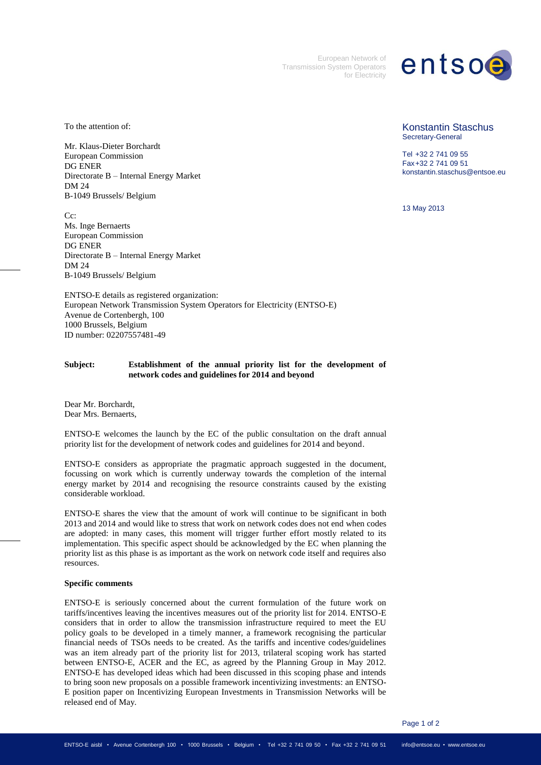European Network of Transmission System Operators for Electricity

## entsoe

To the attention of:

Mr. Klaus-Dieter Borchardt European Commission DG ENER Directorate B – Internal Energy Market DM 24 B-1049 Brussels/ Belgium

 $C_{\rm C}$ Ms. Inge Bernaerts European Commission DG ENER Directorate B – Internal Energy Market DM 24 B-1049 Brussels/ Belgium

ENTSO-E details as registered organization: European Network Transmission System Operators for Electricity (ENTSO-E) Avenue de Cortenbergh, 100 1000 Brussels, Belgium ID number: 02207557481-49

## **Subject: Establishment of the annual priority list for the development of network codes and guidelines for 2014 and beyond**

Dear Mr. Borchardt, Dear Mrs. Bernaerts,

ENTSO-E welcomes the launch by the EC of the public consultation on the draft annual priority list for the development of network codes and guidelines for 2014 and beyond.

ENTSO-E considers as appropriate the pragmatic approach suggested in the document, focussing on work which is currently underway towards the completion of the internal energy market by 2014 and recognising the resource constraints caused by the existing considerable workload.

ENTSO-E shares the view that the amount of work will continue to be significant in both 2013 and 2014 and would like to stress that work on network codes does not end when codes are adopted: in many cases, this moment will trigger further effort mostly related to its implementation. This specific aspect should be acknowledged by the EC when planning the priority list as this phase is as important as the work on network code itself and requires also resources.

## **Specific comments**

ENTSO-E is seriously concerned about the current formulation of the future work on tariffs/incentives leaving the incentives measures out of the priority list for 2014. ENTSO-E considers that in order to allow the transmission infrastructure required to meet the EU policy goals to be developed in a timely manner, a framework recognising the particular financial needs of TSOs needs to be created. As the tariffs and incentive codes/guidelines was an item already part of the priority list for 2013, trilateral scoping work has started between ENTSO-E, ACER and the EC, as agreed by the Planning Group in May 2012. ENTSO-E has developed ideas which had been discussed in this scoping phase and intends to bring soon new proposals on a possible framework incentivizing investments: an ENTSO-E position paper on Incentivizing European Investments in Transmission Networks will be released end of May.

Konstantin Staschus Secretary-General

Tel +32 2 741 09 55 Fax+32 2 741 09 51 konstantin.staschus@entsoe.eu

13 May 2013